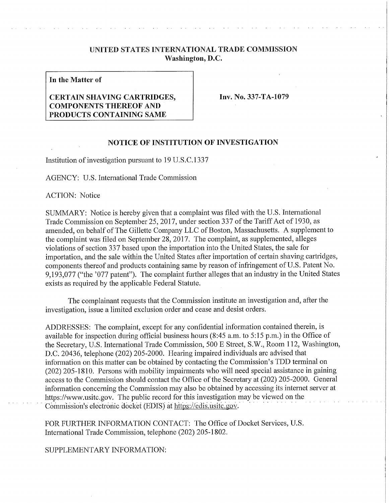## **UNITED STATES INTERNATIONAL TRADE COMMISSION Washington, D.C.**

**In the Matter of** 

## **CERTAIN SHAVING CARTRIDGES, COMPONENTS THEREOF AND PRODUCTS CONTAINING SAME**

**Inv. No. 337-TA-1079** 

## **NOTICE OF INSTITUTION OF INVESTIGATION**

Institution of investigation pursuant to 19 U.S.C.1337

AGENCY: U.S. International Trade Commission

ACTION: Notice

SUMMARY: Notice is hereby given that a complaint was filed with the U.S. International Trade Commission on September 25, 2017, under section 337 of the Tariff Act of 1930, as amended, on behalf of The Gillette Company LLC of Boston, Massachusetts. A supplement to the complaint was filed on September 28, 2017. The complaint, as supplemented, alleges violations of section 337 based upon the importation into the United States, the sale for importation, and the sale within the United States after importation of certain shaving cartridges, components thereof and products containing same by reason of infringement of U.S. Patent No. 9,193,077 ("the '077 patent"). The complaint further alleges that an industry in the United States exists as required by the applicable Federal Statute.

The complainant requests that the Commission institute an investigation and, after the investigation, issue a limited exclusion order and cease and desist orders.

ADDRESSES: The complaint, except for any confidential information contained therein, is available for inspection during official business hours (8:45 a.m. to 5:15 p.m.) in the Office of the Secretary, U.S. International Trade Commission, 500 E Street, S.W., Room 112, Washington, D.C. 20436, telephone (202) 205-2000. Hearing impaired individuals are advised that information on this matter can be obtained by contacting the Commission's TDD terminal on (202) 205-1810. Persons with mobility impairments who will need special assistance in gaining access to the Commission should contact the Office of the Secretary at (202) 205-2000. General information concerning the Commission may also be obtained by accessing its internet server at https://www.usitc.gov. The public record for this investigation may be viewed on the Commission's electronic docket (EDIS) at https://edis.usite.gov.

FOR FURTHER INFORMATION CONTACT: The Office of Docket Services, U.S. International Trade Commission, telephone (202) 205-1802.

SUPPLEMENTARY INFORMATION: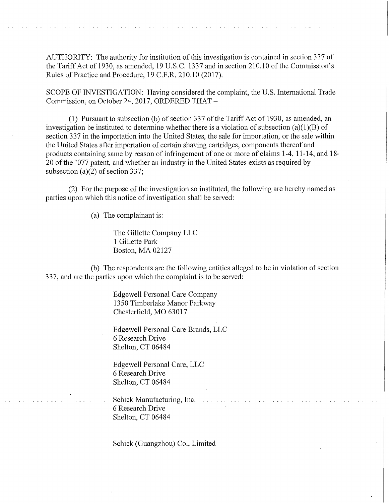AUTHORITY: The authority for institution of this investigation is contained in section 337 of the Tariff Act Of 1930, as amended, 19 U.S.C. 1337 and in section 210.10 of the Commission's Rules of Practice and Procedure, 19 C.F.R. 210.10 (2017).

SCOPE OF INVESTIGATION: Having considered the complaint, the U.S. International Trade Commission, on October 24, 2017, ORDERED THAT —

(1) Pursuant to subsection (b) of section 337 of the Tariff Act of 1930, as amended, an investigation be instituted to determine whether there is a violation of subsection (a)(1)(B) of section 337 in the importation into the United States, the sale for importation, or the sale within the United States after importation of certain shaving cartridges, components thereof and products containing same by reason of infringement of one or more of claims 1-4, 11-14, and 18- 20 of the '077 patent, and whether an industry in the United States exists as required by subsection (a)(2) of section 337;

(2) For the purpose of the investigation so instituted, the following are hereby named as parties upon which this notice of investigation shall be served:

(a) The complainant is:

The Gillette Company LLC 1 Gillette Park Boston, MA 02127

(b) The respondents are the following entities alleged to be in violation of section 337, and are the parties upon which the complaint is to be served:

> Edgewell Personal Care Company 1350 Timberlake Manor Parkway Chesterfield, MO 63017

Edgewell Personal Care Brands, LLC 6 Research Drive Shelton, CT 06484

Edgewell Personal Care, LLC 6 Research Drive Shelton, CT 06484

Schick Manufacturing, Inc. 6 Research Drive Shelton, CT 06484

Schick (Guangzhou) Co., Limited